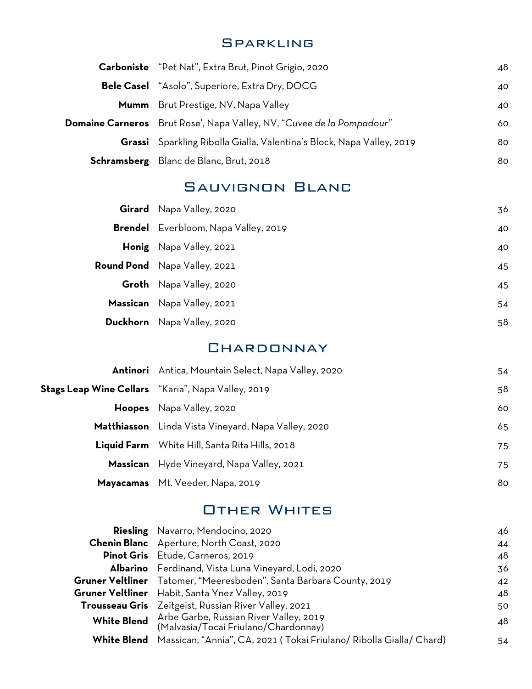#### **SPARKLING**

|                         | Carboniste "Pet Nat", Extra Brut, Pinot Grigio, 2020<br>48                   |     |  |
|-------------------------|------------------------------------------------------------------------------|-----|--|
|                         | <b>Bele Casel</b> "Asolo", Superiore, Extra Dry, DOCG                        | 40  |  |
|                         | <b>Mumm</b> Brut Prestige, NV, Napa Valley                                   | 40  |  |
| <b>Domaine Carneros</b> | Brut Rose', Napa Valley, NV, "Cuvee de la Pompadour"                         | 60  |  |
|                         | <b>Grassi</b> Sparkling Ribolla Gialla, Valentina's Block, Napa Valley, 2019 | 80. |  |
|                         | Schramsberg Blanc de Blanc, Brut, 2018                                       | 80  |  |

#### Sauvignon Blanc

|          | Girard Napa Valley, 2020            | 36 |
|----------|-------------------------------------|----|
| Brendel  | Everbloom, Napa Valley, 2019        | 40 |
|          | Honig Napa Valley, 2021             | 40 |
|          | <b>Round Pond</b> Napa Valley, 2021 | 45 |
|          | <b>Groth</b> Napa Valley, 2020      | 45 |
|          | Massican Napa Valley, 2021          | 54 |
| Duckhorn | Napa Valley, 2020                   | 58 |

#### **CHARDONNAY**

| Antinori Antica, Mountain Select, Napa Valley, 2020       |                                                       | 54 |
|-----------------------------------------------------------|-------------------------------------------------------|----|
| <b>Stags Leap Wine Cellars</b> "Karia", Napa Valley, 2019 |                                                       | 58 |
|                                                           | Hoopes Napa Valley, 2020                              | 60 |
|                                                           | Matthiasson Linda Vista Vineyard, Napa Valley, 2020   | 65 |
|                                                           | <b>Liquid Farm</b> White Hill, Santa Rita Hills, 2018 | 75 |
|                                                           | Massican Hyde Vineyard, Napa Valley, 2021             | 75 |
|                                                           | Mayacamas Mt. Veeder, Napa, 2019                      | 80 |

### Other Whites

|                    | <b>Riesling</b> Navarro, Mendocino, 2020                                       | 46 |
|--------------------|--------------------------------------------------------------------------------|----|
|                    | <b>Chenin Blanc</b> Aperture, North Coast, 2020                                | 44 |
|                    | Pinot Gris Etude, Carneros, 2019                                               | 48 |
|                    | Albarino Ferdinand, Vista Luna Vineyard, Lodi, 2020                            | 36 |
|                    | Gruner Veltliner Tatomer, "Meeresboden", Santa Barbara County, 2019            | 42 |
|                    | Gruner Veltliner Habit, Santa Ynez Valley, 2019                                | 48 |
|                    | <b>Trousseau Gris</b> Zeitgeist, Russian River Valley, 2021                    | 50 |
| <b>White Blend</b> | Arbe Garbe, Russian River Valley, 2019<br>(Malvasia/Tocai Friulano/Chardonnay) | 48 |
| <b>White Blend</b> | Massican, "Annia", CA, 2021 (Tokai Friulano/ Ribolla Gialla/ Chard)            | 54 |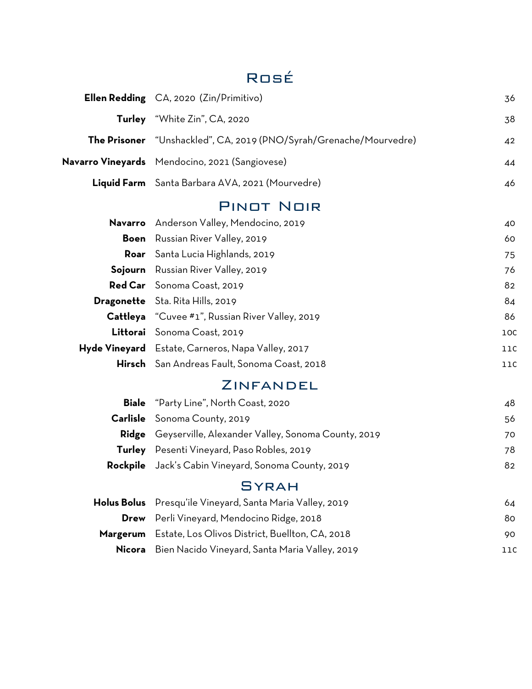# Rosé

| <b>Ellen Redding</b> CA, 2020 (Zin/Primitivo)                      | 36  |
|--------------------------------------------------------------------|-----|
| Turley "White Zin", CA, 2020                                       | 38  |
| The Prisoner "Unshackled", CA, 2019 (PNO/Syrah/Grenache/Mourvedre) | 42  |
| Navarro Vineyards Mendocino, 2021 (Sangiovese)                     | 44  |
| Liquid Farm Santa Barbara AVA, 2021 (Mourvedre)                    | 46  |
| <b>PINOT NOIR</b>                                                  |     |
| Anderson Valley, Mendocino, 2019                                   | 40  |
| Russian River Valley, 2019                                         | 60  |
| Santa Lucia Highlands, 2019                                        | 75  |
| Russian River Valley, 2019                                         | 76  |
| Red Car Sonoma Coast, 2019                                         | 82  |
| Dragonette Sta. Rita Hills, 2019                                   | 84  |
| Cattleya "Cuvee #1", Russian River Valley, 2019                    | 86  |
| Littorai Sonoma Coast, 2019                                        | 10C |
| Hyde Vineyard Estate, Carneros, Napa Valley, 2017                  | 11C |
| Hirsch San Andreas Fault, Sonoma Coast, 2018                       | 11C |
| ZINFANDEL                                                          |     |
| "Party Line", North Coast, 2020                                    | 48  |
| Sonoma County, 2019                                                | 56  |
| Ridge Geyserville, Alexander Valley, Sonoma County, 2019           | 70  |
| Pesenti Vineyard, Paso Robles, 2019                                | 78  |
| Jack's Cabin Vineyard, Sonoma County, 2019                         | 82  |
| <b>SYRAH</b>                                                       |     |
| Presqu'ile Vineyard, Santa Maria Valley, 2019                      | 64  |
| Perli Vineyard, Mendocino Ridge, 2018                              | 80  |
| Estate, Los Olivos District, Buellton, CA, 2018                    | 90  |
| Bien Nacido Vineyard, Santa Maria Valley, 2019                     | 11C |
|                                                                    |     |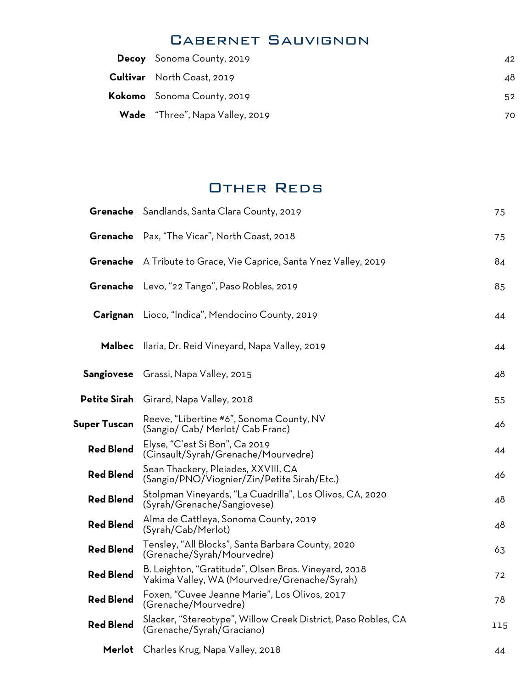#### Cabernet Sauvignon

| <b>Decoy</b> Sonoma County, 2019       | 42  |
|----------------------------------------|-----|
| <b>Cultivar</b> North Coast, 2019      | 48. |
| Kokomo Sonoma County, 2019             | 52  |
| <b>Wade</b> "Three", Napa Valley, 2019 | 70. |
|                                        |     |

#### Other Reds

|                     | Grenache Sandlands, Santa Clara County, 2019                                                         | 75  |
|---------------------|------------------------------------------------------------------------------------------------------|-----|
| Grenache            | Pax, "The Vicar", North Coast, 2018                                                                  | 75  |
|                     | <b>Grenache</b> A Tribute to Grace, Vie Caprice, Santa Ynez Valley, 2019                             | 84  |
|                     | Grenache Levo, "22 Tango", Paso Robles, 2019                                                         | 85  |
| Carignan            | Lioco, "Indica", Mendocino County, 2019                                                              | 44  |
| <b>Malbec</b>       | Ilaria, Dr. Reid Vineyard, Napa Valley, 2019                                                         | 44  |
|                     | <b>Sangiovese</b> Grassi, Napa Valley, 2015                                                          | 48  |
| <b>Petite Sirah</b> | Girard, Napa Valley, 2018                                                                            | 55  |
| <b>Super Tuscan</b> | Reeve, "Libertine #6", Sonoma County, NV<br>(Sangio/ Cab/ Merlot/ Cab Franc)                         | 46  |
| <b>Red Blend</b>    | Elyse, "C'est Si Bon", Ca 2019<br>(Cinsault/Syrah/Grenache/Mourvedre)                                | 44  |
| <b>Red Blend</b>    | Sean Thackery, Pleiades, XXVIII, CA<br>(Sangio/PNO/Viognier/Zin/Petite Sirah/Etc.)                   | 46  |
| <b>Red Blend</b>    | Stolpman Vineyards, "La Cuadrilla", Los Olivos, CA, 2020<br>(Syrah/Grenache/Sangiovese)              | 48  |
| <b>Red Blend</b>    | Alma de Cattleya, Sonoma County, 2019<br>(Syrah/Cab/Merlot)                                          | 48  |
| <b>Red Blend</b>    | Tensley, "All Blocks", Santa Barbara County, 2020<br>(Grenache/Syrah/Mourvedre)                      | 63  |
| <b>Red Blend</b>    | B. Leighton, "Gratitude", Olsen Bros. Vineyard, 2018<br>Yakima Valley, WA (Mourvedre/Grenache/Syrah) | 72  |
| <b>Red Blend</b>    | Foxen, "Cuvee Jeanne Marie", Los Olivos, 2017<br>(Grenache/Mourvedre)                                | 78  |
| <b>Red Blend</b>    | Slacker, "Stereotype", Willow Creek District, Paso Robles, CA<br>(Grenache/Syrah/Graciano)           | 115 |
| Merlot              | Charles Krug, Napa Valley, 2018                                                                      | 44  |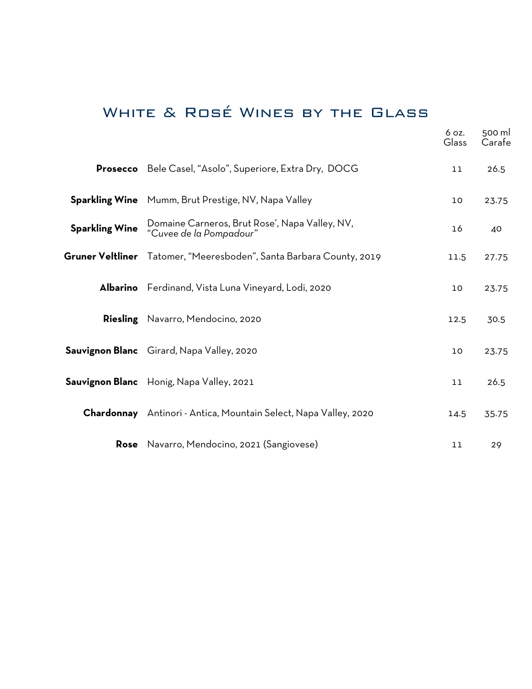# White & Rosé Wines by the Glass

|                       |                                                                            | 6 oz.<br>Glass | 500 ml<br>Carafe |
|-----------------------|----------------------------------------------------------------------------|----------------|------------------|
|                       | Prosecco Bele Casel, "Asolo", Superiore, Extra Dry, DOCG                   | 11             | 26.5             |
|                       | <b>Sparkling Wine</b> Mumm, Brut Prestige, NV, Napa Valley                 | 10             | 23.75            |
| <b>Sparkling Wine</b> | Domaine Carneros, Brut Rose', Napa Valley, NV,<br>"Cuvee de la Pompadour"  | 16             | 40               |
|                       | <b>Gruner Veltliner</b> Tatomer, "Meeresboden", Santa Barbara County, 2019 | 11.5           | 27.75            |
|                       | Albarino Ferdinand, Vista Luna Vineyard, Lodi, 2020                        | 10             | 23.75            |
|                       | <b>Riesling</b> Navarro, Mendocino, 2020                                   | 12.5           | 30.5             |
|                       | <b>Sauvignon Blanc</b> Girard, Napa Valley, 2020                           | 10             | 23.75            |
|                       | Sauvignon Blanc Honig, Napa Valley, 2021                                   | 11             | 26.5             |
|                       | <b>Chardonnay</b> Antinori - Antica, Mountain Select, Napa Valley, 2020    | 14.5           | 35.75            |
|                       | Rose Navarro, Mendocino, 2021 (Sangiovese)                                 | 11             | 29               |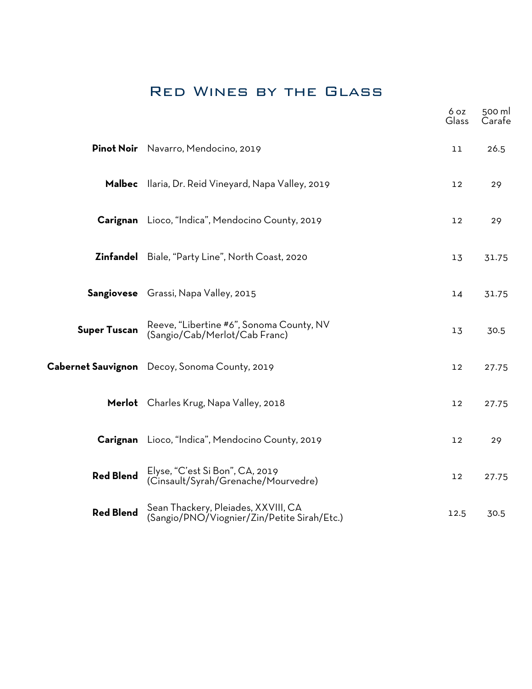# Red Wines by the Glass

|                     |                                                                                    | 6 oz<br>Glass | 500 ml<br>Carafe |
|---------------------|------------------------------------------------------------------------------------|---------------|------------------|
|                     | Pinot Noir Navarro, Mendocino, 2019                                                | 11            | 26.5             |
|                     | Malbec Ilaria, Dr. Reid Vineyard, Napa Valley, 2019                                | 12            | 29               |
|                     | Carignan Lioco, "Indica", Mendocino County, 2019                                   | 12            | 29               |
|                     | <b>Zinfandel</b> Biale, "Party Line", North Coast, 2020                            | 13            | 31.75            |
|                     | Sangiovese Grassi, Napa Valley, 2015                                               | 14            | 31.75            |
| <b>Super Tuscan</b> | Reeve, "Libertine #6", Sonoma County, NV<br>(Sangio/Cab/Merlot/Cab Franc)          | 13            | 30.5             |
|                     | Cabernet Sauvignon Decoy, Sonoma County, 2019                                      | 12            | 27.75            |
|                     | Merlot Charles Krug, Napa Valley, 2018                                             | 12            | 27.75            |
|                     | Carignan Lioco, "Indica", Mendocino County, 2019                                   | 12            | 29               |
| <b>Red Blend</b>    | Elyse, "C'est Si Bon", CA, 2019<br>(Cinsault/Syrah/Grenache/Mourvedre)             | 12            | 27.75            |
| <b>Red Blend</b>    | Sean Thackery, Pleiades, XXVIII, CA<br>(Sangio/PNO/Viognier/Zin/Petite Sirah/Etc.) | 12.5          | 30.5             |